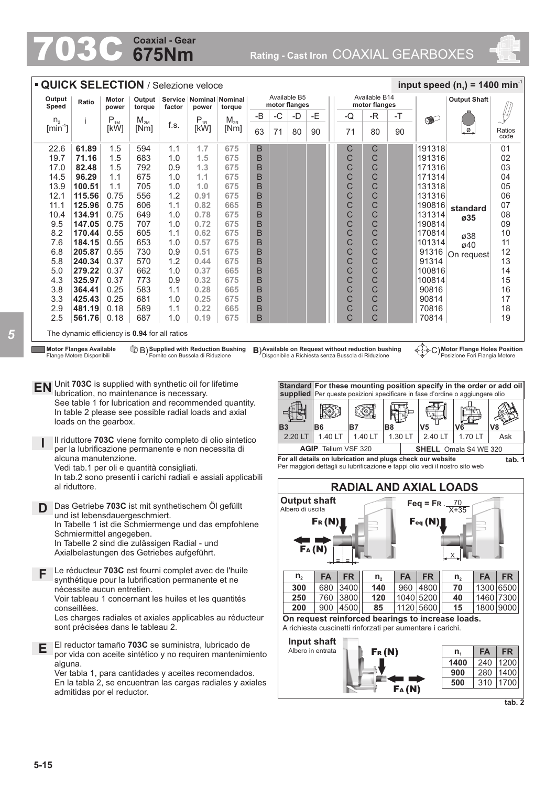# **675Nm Coaxial - Gear**

**Rating - Cast Iron COAXIAL GEARBOXES** 



**tab. 2**

| <b>QUICK SELECTION / Selezione veloce</b>                                                                                                                                                                                                                                                                                                                                                                                                                                                                                                                                                                                            |                                                                                                                                              |                            |                    |                                  |              |                                          |              |                |                                                                                                     |                   |                    |                     |                                                    |                   | input speed $(n_1)$ = 1400 min <sup>-1</sup>               |                                                                                                              |                  |
|--------------------------------------------------------------------------------------------------------------------------------------------------------------------------------------------------------------------------------------------------------------------------------------------------------------------------------------------------------------------------------------------------------------------------------------------------------------------------------------------------------------------------------------------------------------------------------------------------------------------------------------|----------------------------------------------------------------------------------------------------------------------------------------------|----------------------------|--------------------|----------------------------------|--------------|------------------------------------------|--------------|----------------|-----------------------------------------------------------------------------------------------------|-------------------|--------------------|---------------------|----------------------------------------------------|-------------------|------------------------------------------------------------|--------------------------------------------------------------------------------------------------------------|------------------|
| Output<br>Speed                                                                                                                                                                                                                                                                                                                                                                                                                                                                                                                                                                                                                      | Ratio                                                                                                                                        | Motor<br>power             | Output  <br>torque | factor                           | power        | Service   Nominal   Nominal<br>torque    |              |                | Available B5<br>motor flanges                                                                       |                   |                    |                     | Available B14<br>motor flanges                     |                   |                                                            | <b>Output Shaft</b>                                                                                          |                  |
| n <sub>2</sub>                                                                                                                                                                                                                                                                                                                                                                                                                                                                                                                                                                                                                       | i                                                                                                                                            | $\mathsf{P}_{\textsc{1M}}$ | $M_{2M}$           |                                  | $P_{1R}$     | $M_{2R}$                                 | -B           | -C             | -D                                                                                                  | -E                |                    | -Q                  | -R                                                 | -T                | $\bullet$                                                  |                                                                                                              |                  |
| $[min^{-1}]$                                                                                                                                                                                                                                                                                                                                                                                                                                                                                                                                                                                                                         |                                                                                                                                              | [kW]                       | [Nm]               | f.s.                             | [kW]         | [Nm]                                     | 63           | 71             | 80                                                                                                  | 90                |                    | 71                  | 80                                                 | 90                |                                                            | ø.                                                                                                           | Ratios           |
|                                                                                                                                                                                                                                                                                                                                                                                                                                                                                                                                                                                                                                      |                                                                                                                                              |                            |                    |                                  |              |                                          |              |                |                                                                                                     |                   |                    |                     |                                                    |                   |                                                            |                                                                                                              | code             |
| 22.6<br>19.7                                                                                                                                                                                                                                                                                                                                                                                                                                                                                                                                                                                                                         | 61.89<br>71.16                                                                                                                               | 1.5<br>1.5                 | 594<br>683         | 1.1<br>1.0                       | 1.7<br>1.5   | 675<br>675                               | B<br>B       |                |                                                                                                     |                   |                    | С<br>C              | С<br>C                                             |                   | 191318<br>191316                                           |                                                                                                              | 01<br>02         |
| 17.0                                                                                                                                                                                                                                                                                                                                                                                                                                                                                                                                                                                                                                 | 82.48                                                                                                                                        | 1.5                        | 792                | 0.9                              | 1.3          | 675                                      | B            |                |                                                                                                     |                   |                    | С                   | С                                                  |                   | 171316                                                     |                                                                                                              | 03               |
| 14.5                                                                                                                                                                                                                                                                                                                                                                                                                                                                                                                                                                                                                                 | 96.29                                                                                                                                        | 1.1                        | 675                | 1.0                              | 1.1          | 675                                      | B            |                |                                                                                                     |                   |                    | C                   | C                                                  |                   | 171314                                                     |                                                                                                              | 04               |
| 13.9                                                                                                                                                                                                                                                                                                                                                                                                                                                                                                                                                                                                                                 | 100.51                                                                                                                                       | 1.1                        | 705                | 1.0                              | 1.0          | 675                                      | B            |                |                                                                                                     |                   |                    | C                   | C                                                  |                   | 131318                                                     |                                                                                                              | 05               |
| 12.1<br>11.1                                                                                                                                                                                                                                                                                                                                                                                                                                                                                                                                                                                                                         | 115.56<br>125.96                                                                                                                             | 0.75<br>0.75               | 556<br>606         | 1.2<br>1.1                       | 0.91<br>0.82 | 675<br>665                               | B<br>B       |                |                                                                                                     |                   |                    | С<br>C              | С<br>C                                             |                   | 131316<br>190816                                           |                                                                                                              | 06<br>07         |
| 10.4                                                                                                                                                                                                                                                                                                                                                                                                                                                                                                                                                                                                                                 | 134.91                                                                                                                                       | 0.75                       | 649                | 1.0                              | 0.78         | 675                                      | B            |                |                                                                                                     |                   |                    | C                   | C                                                  |                   | 131314                                                     | standard<br>ø35                                                                                              | 08               |
| 9.5                                                                                                                                                                                                                                                                                                                                                                                                                                                                                                                                                                                                                                  | 147.05                                                                                                                                       | 0.75                       | 707                | 1.0                              | 0.72         | 675                                      | B            |                |                                                                                                     |                   |                    | С                   | C                                                  |                   | 190814                                                     |                                                                                                              | 09               |
| 8.2<br>7.6                                                                                                                                                                                                                                                                                                                                                                                                                                                                                                                                                                                                                           | 170.44<br>184.15                                                                                                                             | 0.55                       | 605<br>653         | 1.1                              | 0.62         | 675                                      | B            |                |                                                                                                     |                   |                    | C                   | C<br>C                                             |                   | 170814<br>101314                                           | ø38                                                                                                          | 10<br>11         |
| 6.8                                                                                                                                                                                                                                                                                                                                                                                                                                                                                                                                                                                                                                  | 205.87                                                                                                                                       | 0.55<br>0.55               | 730                | 1.0<br>0.9                       | 0.57<br>0.51 | 675<br>675                               | $\sf B$<br>B |                |                                                                                                     |                   |                    | C<br>C              | C                                                  |                   | 91316                                                      | ø40                                                                                                          | 12               |
| 5.8                                                                                                                                                                                                                                                                                                                                                                                                                                                                                                                                                                                                                                  | 240.34                                                                                                                                       | 0.37                       | 570                | 1.2                              | 0.44         | 675                                      | B            |                |                                                                                                     |                   |                    | C                   | C                                                  |                   | 91314                                                      | On request                                                                                                   | 13               |
| 5.0                                                                                                                                                                                                                                                                                                                                                                                                                                                                                                                                                                                                                                  | 279.22                                                                                                                                       | 0.37                       | 662                | 1.0                              | 0.37         | 665                                      | B            |                |                                                                                                     |                   |                    | C                   | C                                                  |                   | 100816                                                     |                                                                                                              | 14               |
| 4.3<br>3.8                                                                                                                                                                                                                                                                                                                                                                                                                                                                                                                                                                                                                           | 325.97<br>364.41                                                                                                                             | 0.37<br>0.25               | 773<br>583         | 0.9<br>1.1                       | 0.32<br>0.28 | 675<br>665                               | B<br>B       |                |                                                                                                     |                   |                    | C<br>C              | C<br>C                                             |                   | 100814<br>90816                                            |                                                                                                              | 15<br>16         |
| 3.3                                                                                                                                                                                                                                                                                                                                                                                                                                                                                                                                                                                                                                  | 425.43                                                                                                                                       | 0.25                       | 681                | 1.0                              | 0.25         | 675                                      | B            |                |                                                                                                     |                   |                    | C                   | C                                                  |                   | 90814                                                      |                                                                                                              | 17               |
| 2.9                                                                                                                                                                                                                                                                                                                                                                                                                                                                                                                                                                                                                                  | 481.19                                                                                                                                       | 0.18                       | 589                | 1.1                              | 0.22         | 665                                      | B            |                |                                                                                                     |                   |                    | С                   | C                                                  |                   | 70816                                                      |                                                                                                              | 18               |
| 2.5                                                                                                                                                                                                                                                                                                                                                                                                                                                                                                                                                                                                                                  | 561.76                                                                                                                                       | 0.18                       | 687                | 1.0                              | 0.19         | 675                                      | B            |                |                                                                                                     |                   |                    | C                   | C                                                  |                   | 70814                                                      |                                                                                                              | 19               |
|                                                                                                                                                                                                                                                                                                                                                                                                                                                                                                                                                                                                                                      | The dynamic efficiency is 0.94 for all ratios                                                                                                |                            |                    |                                  |              |                                          |              |                |                                                                                                     |                   |                    |                     |                                                    |                   |                                                            |                                                                                                              |                  |
|                                                                                                                                                                                                                                                                                                                                                                                                                                                                                                                                                                                                                                      | <b>Motor Flanges Available</b>                                                                                                               |                            |                    |                                  |              | <b>B</b> Supplied with Reduction Bushing |              |                |                                                                                                     |                   |                    |                     | B) Available on Request without reduction bushing  |                   |                                                            | C) Motor Flange Holes Position                                                                               |                  |
|                                                                                                                                                                                                                                                                                                                                                                                                                                                                                                                                                                                                                                      | Flange Motore Disponibili                                                                                                                    |                            |                    | Fornito con Bussola di Riduzione |              |                                          |              |                |                                                                                                     |                   |                    |                     | Disponibile a Richiesta senza Bussola di Riduzione |                   |                                                            | Posizione Fori Flangia Motore                                                                                |                  |
| Unit 703C is supplied with synthetic oil for lifetime<br>Standard For these mounting position specify in the order or add oil<br>EN<br>lubrication, no maintenance is necessary.<br>supplied Per queste posizioni specificare in fase d'ordine o aggiungere olio<br>See table 1 for lubrication and recommended quantity.<br><u>kon</u><br>804<br>In table 2 please see possible radial loads and axial<br>loads on the gearbox.<br><b>B8</b><br>V5<br><b>B3</b><br>B <sub>6</sub><br>B7<br>V8<br>V6<br>1.40 LT<br>1.40 LT<br>1.30 LT<br>2.40 LT<br>1.70 LT<br>2.20 LT<br>Il riduttore 703C viene fornito completo di olio sintetico |                                                                                                                                              |                            |                    |                                  |              |                                          |              |                |                                                                                                     |                   | Ask                |                     |                                                    |                   |                                                            |                                                                                                              |                  |
|                                                                                                                                                                                                                                                                                                                                                                                                                                                                                                                                                                                                                                      | per la lubrificazione permanente e non necessita di<br>alcuna manutenzione.<br>Vedi tab.1 per oli e quantità consigliati.                    |                            |                    |                                  |              |                                          |              |                |                                                                                                     |                   |                    | AGIP Telium VSF 320 |                                                    |                   | For all details on lubrication and plugs check our website | <b>SHELL</b> Omala S4 WE 320<br>Per maggiori dettagli su lubrificazione e tappi olio vedi il nostro sito web | tab. 1           |
|                                                                                                                                                                                                                                                                                                                                                                                                                                                                                                                                                                                                                                      | In tab.2 sono presenti i carichi radiali e assiali applicabili<br>al riduttore.                                                              |                            |                    |                                  |              |                                          |              |                |                                                                                                     |                   |                    |                     |                                                    |                   | <b>RADIAL AND AXIAL LOADS</b>                              |                                                                                                              |                  |
|                                                                                                                                                                                                                                                                                                                                                                                                                                                                                                                                                                                                                                      |                                                                                                                                              |                            |                    |                                  |              |                                          |              |                | <b>Output shaft</b>                                                                                 |                   |                    |                     |                                                    |                   |                                                            |                                                                                                              |                  |
| D.                                                                                                                                                                                                                                                                                                                                                                                                                                                                                                                                                                                                                                   | Das Getriebe 703C ist mit synthetischem Öl gefüllt<br>und ist lebensdauergeschmiert.<br>In Tabelle 1 ist die Schmiermenge und das empfohlene |                            |                    |                                  |              |                                          |              |                | Feq = FR. $\frac{70}{X+35}$<br>Albero di uscita<br>$\mathsf{Fr}\left(\mathsf{N}\right)$<br>[Feq(N)] |                   |                    |                     |                                                    |                   |                                                            |                                                                                                              |                  |
|                                                                                                                                                                                                                                                                                                                                                                                                                                                                                                                                                                                                                                      | Schmiermittel angegeben.                                                                                                                     |                            |                    |                                  |              |                                          |              |                |                                                                                                     |                   |                    |                     |                                                    |                   |                                                            |                                                                                                              |                  |
|                                                                                                                                                                                                                                                                                                                                                                                                                                                                                                                                                                                                                                      | In Tabelle 2 sind die zulässigen Radial - und                                                                                                |                            |                    |                                  |              |                                          |              |                |                                                                                                     | FA(M)             |                    |                     |                                                    |                   |                                                            |                                                                                                              |                  |
| F                                                                                                                                                                                                                                                                                                                                                                                                                                                                                                                                                                                                                                    | Axialbelastungen des Getriebes aufgeführt.<br>Le réducteur 703C est fourni complet avec de l'huile                                           |                            |                    |                                  |              |                                          |              |                |                                                                                                     |                   |                    |                     |                                                    |                   |                                                            |                                                                                                              |                  |
| synthétique pour la lubrification permanente et ne                                                                                                                                                                                                                                                                                                                                                                                                                                                                                                                                                                                   |                                                                                                                                              |                            |                    |                                  |              |                                          |              | $n_{2}$<br>300 | <b>FA</b><br>680                                                                                    |                   | <b>FR</b><br> 3400 | $n_{2}$<br>140      | FA<br>960                                          | <b>FR</b><br>4800 | FA<br>n <sub>2</sub><br>70                                 | <b>FR</b><br>1300 6500                                                                                       |                  |
|                                                                                                                                                                                                                                                                                                                                                                                                                                                                                                                                                                                                                                      | nécessite aucun entretien.<br>Voir tableau 1 concernant les huiles et les quantités<br>conseillées.                                          |                            |                    |                                  |              |                                          |              |                | 250                                                                                                 |                   |                    | 760 3800            | 120                                                |                   | 1040 5200                                                  | 40                                                                                                           | 1460 7300        |
|                                                                                                                                                                                                                                                                                                                                                                                                                                                                                                                                                                                                                                      |                                                                                                                                              |                            |                    |                                  |              |                                          |              |                | 200                                                                                                 |                   |                    | 900 4500            | 85                                                 |                   | 1120 5600                                                  | 15                                                                                                           | 1800 9000        |
|                                                                                                                                                                                                                                                                                                                                                                                                                                                                                                                                                                                                                                      | Les charges radiales et axiales applicables au réducteur                                                                                     |                            |                    |                                  |              |                                          |              |                |                                                                                                     |                   |                    |                     |                                                    |                   |                                                            | On request reinforced bearings to increase loads.                                                            |                  |
|                                                                                                                                                                                                                                                                                                                                                                                                                                                                                                                                                                                                                                      | sont précisées dans le tableau 2.                                                                                                            |                            |                    |                                  |              |                                          |              |                |                                                                                                     |                   |                    |                     |                                                    |                   | A richiesta cuscinetti rinforzati per aumentare i carichi. |                                                                                                              |                  |
|                                                                                                                                                                                                                                                                                                                                                                                                                                                                                                                                                                                                                                      | El reductor tamaño 703C se suministra, lubricado de                                                                                          |                            |                    |                                  |              |                                          |              |                |                                                                                                     | Input shaft       |                    |                     |                                                    |                   |                                                            |                                                                                                              |                  |
| Е                                                                                                                                                                                                                                                                                                                                                                                                                                                                                                                                                                                                                                    | por vida con aceite sintético y no requiren mantenimiento                                                                                    |                            |                    |                                  |              |                                          |              |                |                                                                                                     | Albero in entrata |                    |                     | Fr(M)                                              |                   |                                                            | <b>FA</b><br>n <sub>1</sub>                                                                                  | <b>FR</b>        |
|                                                                                                                                                                                                                                                                                                                                                                                                                                                                                                                                                                                                                                      | alguna.                                                                                                                                      |                            |                    |                                  |              |                                          |              |                |                                                                                                     |                   |                    |                     |                                                    |                   |                                                            | 1400<br>240                                                                                                  | 1200             |
|                                                                                                                                                                                                                                                                                                                                                                                                                                                                                                                                                                                                                                      | Ver tabla 1, para cantidades y aceites recomendados.                                                                                         |                            |                    |                                  |              |                                          |              |                |                                                                                                     |                   |                    |                     |                                                    |                   |                                                            | 280<br>900<br>500                                                                                            | 1400<br>310 1700 |
| En la tabla 2, se encuentran las cargas radiales y axiales<br>admitidas por el reductor.                                                                                                                                                                                                                                                                                                                                                                                                                                                                                                                                             |                                                                                                                                              |                            |                    |                                  |              |                                          |              |                |                                                                                                     |                   |                    |                     |                                                    | FA(M)             |                                                            |                                                                                                              |                  |

**5-15**

admitidas por el reductor.